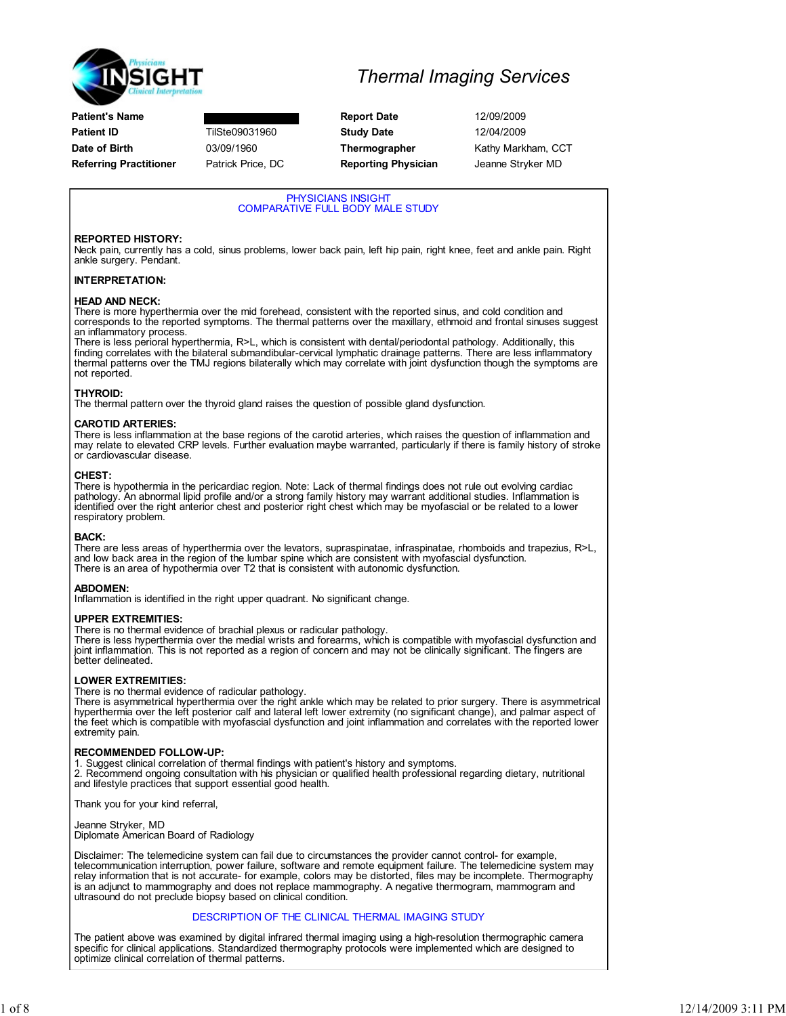

|  |  | <b>Thermal Imaging Services</b> |
|--|--|---------------------------------|
|--|--|---------------------------------|

Patient's Name **Report Date** 12/09/2009 **Patient ID** TilSte09031960 **Study Date** 12/04/2009 Date of Birth **03/09/1960** Thermographer Kathy Markham, CCT Referring Practitioner Patrick Price, DC Reporting Physician Jeanne Stryker MD

PHYSICIANS INSIGHT COMPARATIVE FULL BODY MALE STUDY REPORTED HISTORY: Neck pain, currently has a cold, sinus problems, lower back pain, left hip pain, right knee, feet and ankle pain. Right ankle surgery. Pendant. INTERPRETATION: HEAD AND NECK: There is more hyperthermia over the mid forehead, consistent with the reported sinus, and cold condition and corresponds to the reported symptoms. The thermal patterns over the maxillary, ethmoid and frontal sinuses suggest an inflammatory process. There is less perioral hyperthermia, R>L, which is consistent with dental/periodontal pathology. Additionally, this finding correlates with the bilateral submandibular-cervical lymphatic drainage patterns. There are less inflammatory thermal patterns over the TMJ regions bilaterally which may correlate with joint dysfunction though the symptoms are not reported. THYROID: The thermal pattern over the thyroid gland raises the question of possible gland dysfunction. CAROTID ARTERIES: There is less inflammation at the base regions of the carotid arteries, which raises the question of inflammation and may relate to elevated CRP levels. Further evaluation maybe warranted, particularly if there is family history of stroke or cardiovascular disease. CHEST: There is hypothermia in the pericardiac region. Note: Lack of thermal findings does not rule out evolving cardiac pathology. An abnormal lipid profile and/or a strong family history may warrant additional studies. Inflammation is identified over the right anterior chest and posterior right chest which may be myofascial or be related to a lower respiratory problem. BACK: There are less areas of hyperthermia over the levators, supraspinatae, infraspinatae, rhomboids and trapezius, R>L, and low back area in the region of the lumbar spine which are consistent with myofascial dysfunction. There is an area of hypothermia over T2 that is consistent with autonomic dysfunction. ABDOMEN: Inflammation is identified in the right upper quadrant. No significant change. UPPER EXTREMITIES: There is no thermal evidence of brachial plexus or radicular pathology. There is less hyperthermia over the medial wrists and forearms, which is compatible with myofascial dysfunction and joint inflammation. This is not reported as a region of concern and may not be clinically significant. The fingers are better delineated. LOWER EXTREMITIES: There is no thermal evidence of radicular pathology. There is asymmetrical hyperthermia over the right ankle which may be related to prior surgery. There is asymmetrical<br>hyperthermia over the left posterior calf and lateral left lower extremity (no significant change), and p the feet which is compatible with myofascial dysfunction and joint inflammation and correlates with the reported lower extremity pain. RECOMMENDED FOLLOW-UP: 1. Suggest clinical correlation of thermal findings with patient's history and symptoms. 2. Recommend ongoing consultation with his physician or qualified health professional regarding dietary, nutritional and lifestyle practices that support essential good health. Thank you for your kind referral, Jeanne Stryker, MD Diplomate American Board of Radiology Disclaimer: The telemedicine system can fail due to circumstances the provider cannot control- for example, telecommunication interruption, power failure, software and remote equipment failure. The telemedicine system may relay information that is not accurate- for example, colors may be distorted, files may be incomplete. Thermography is an adjunct to mammography and does not replace mammography. A negative thermogram, mammogram and ultrasound do not preclude biopsy based on clinical condition. DESCRIPTION OF THE CLINICAL THERMAL IMAGING STUDY The patient above was examined by digital infrared thermal imaging using a high-resolution thermographic camera specific for clinical applications. Standardized thermography protocols were implemented which are designed to optimize clinical correlation of thermal patterns.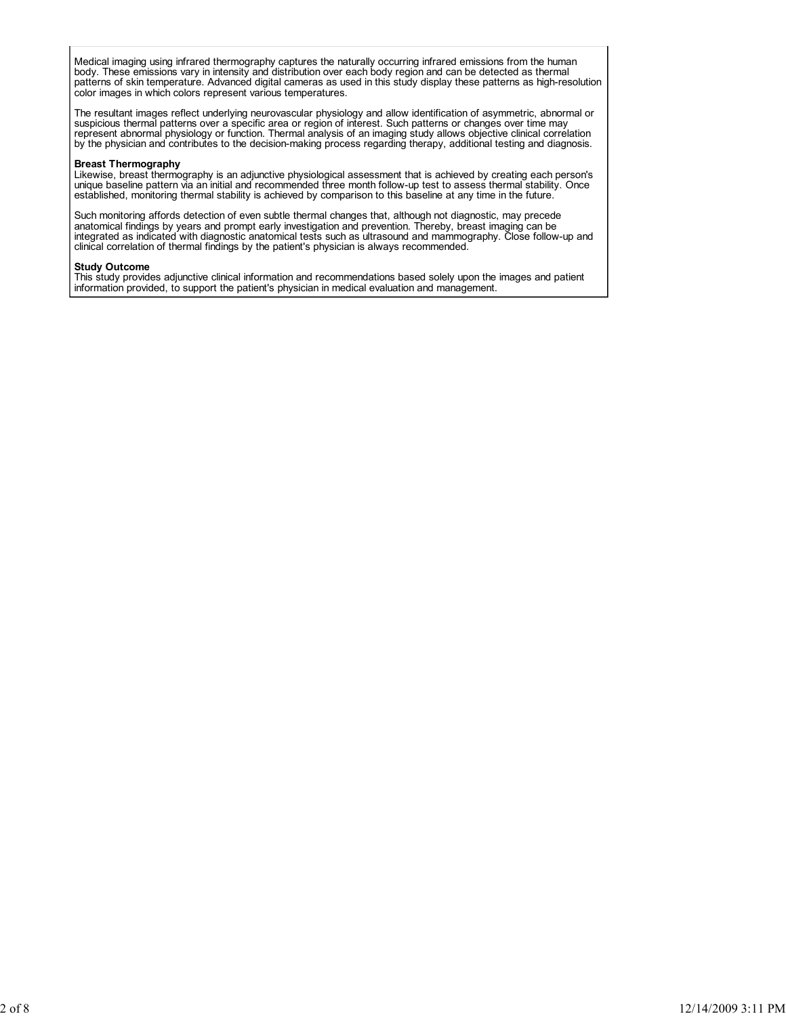Medical imaging using infrared thermography captures the naturally occurring infrared emissions from the human body. These emissions vary in intensity and distribution over each body region and can be detected as thermal<br>patterns of skin temperature. Advanced digital cameras as used in this study display these patterns as high-reso color images in which colors represent various temperatures.

The resultant images reflect underlying neurovascular physiology and allow identification of asymmetric, abnormal or suspicious thermal patterns over a specific area or region of interest. Such patterns or changes over time may represent abnormal physiology or function. Thermal analysis of an imaging study allows objective clinical correlation<br>by the physician and contributes to the decision-making process regarding therapy, additional testing an

## Breast Thermography

Likewise, breast thermography is an adjunctive physiological assessment that is achieved by creating each person's unique baseline pattern via an initial and recommended three month follow-up test to assess thermal stability. Once established, monitoring thermal stability is achieved by comparison to this baseline at any time in the future.

Such monitoring affords detection of even subtle thermal changes that, although not diagnostic, may precede anatomical findings by years and prompt early investigation and prevention. Thereby, breast imaging can be integrated as indicated with diagnostic anatomical tests such as ultrasound and mammography. Close follow-up and clinical correlation of thermal findings by the patient's physician is always recommended.

## Study Outcome

This study provides adjunctive clinical information and recommendations based solely upon the images and patient information provided, to support the patient's physician in medical evaluation and management.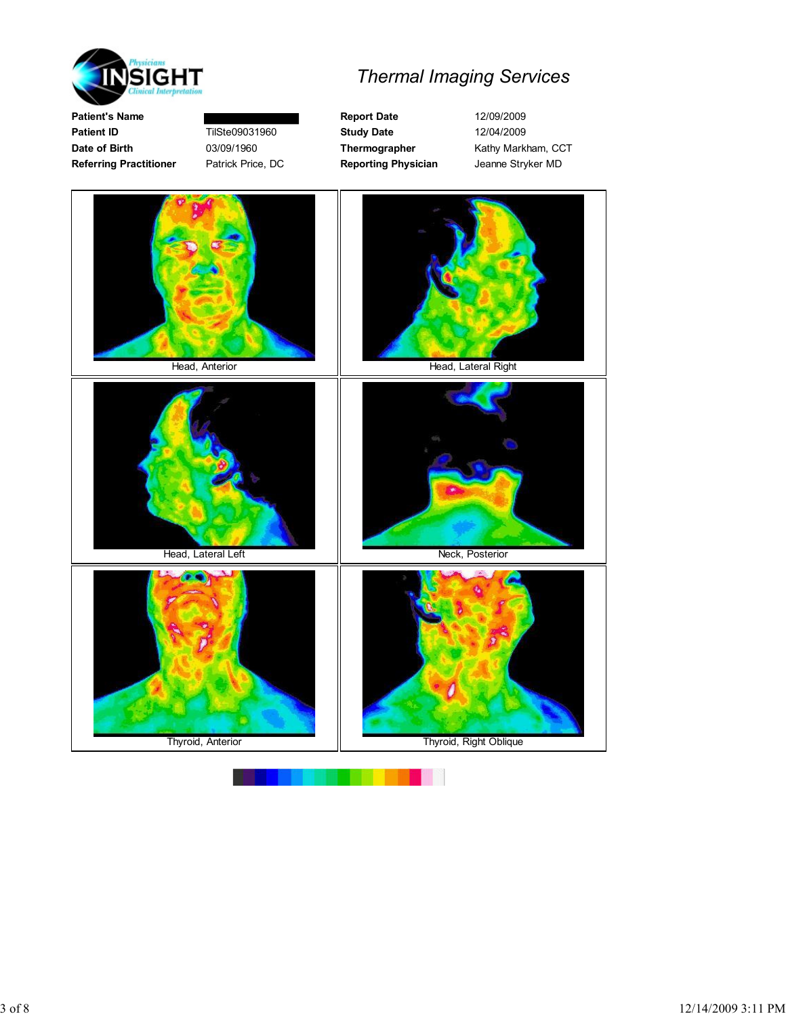

Patient's Name **Report Date** 12/09/2009 Patient ID **TilSte09031960** Study Date 12/04/2009 Date of Birth 03/09/1960 Thermographer Kathy Markham, CCT

Referring Practitioner Patrick Price, DC Reporting Physician Jeanne Stryker MD

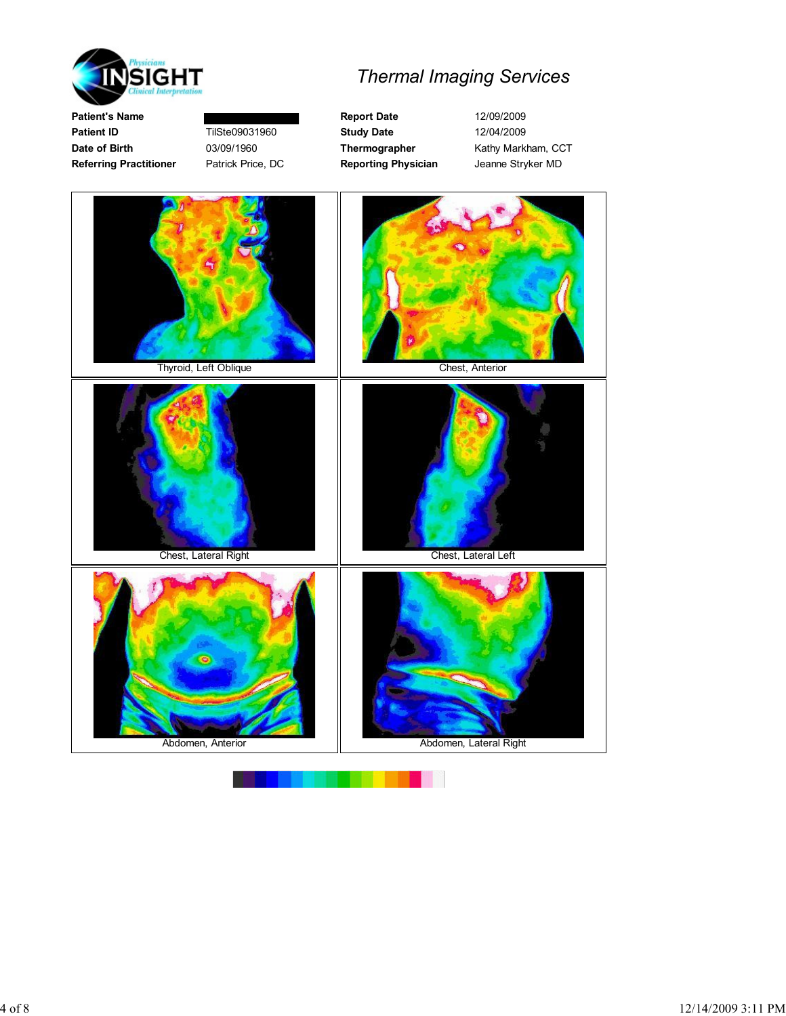

Patient's Name **Report Date** 12/09/2009 Patient ID **TilSte09031960** Study Date 12/04/2009 Date of Birth 03/09/1960 Thermographer Kathy Markham, CCT Referring Practitioner Patrick Price, DC Reporting Physician Jeanne Stryker MD



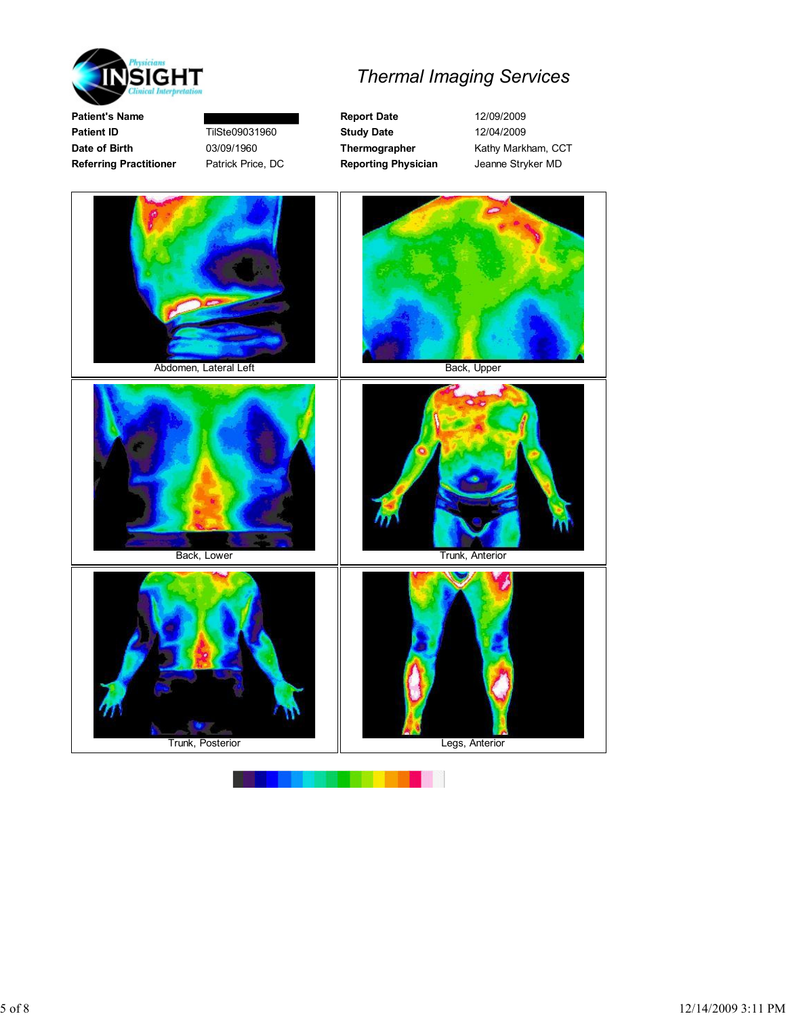

Patient's Name **Report Date** 12/09/2009 Patient ID **TilSte09031960** Study Date 12/04/2009 Date of Birth 03/09/1960 Thermographer Kathy Markham, CCT Referring Practitioner Patrick Price, DC Reporting Physician Jeanne Stryker MD

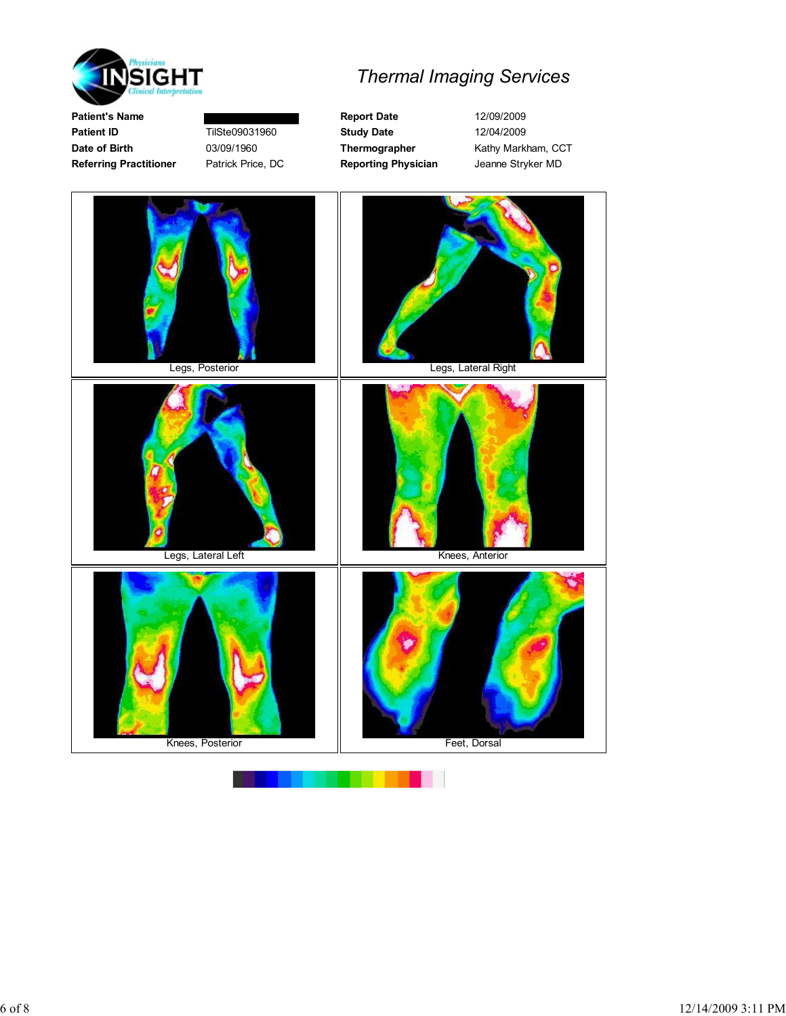



Patient's Name **Report Date** 12/09/2009

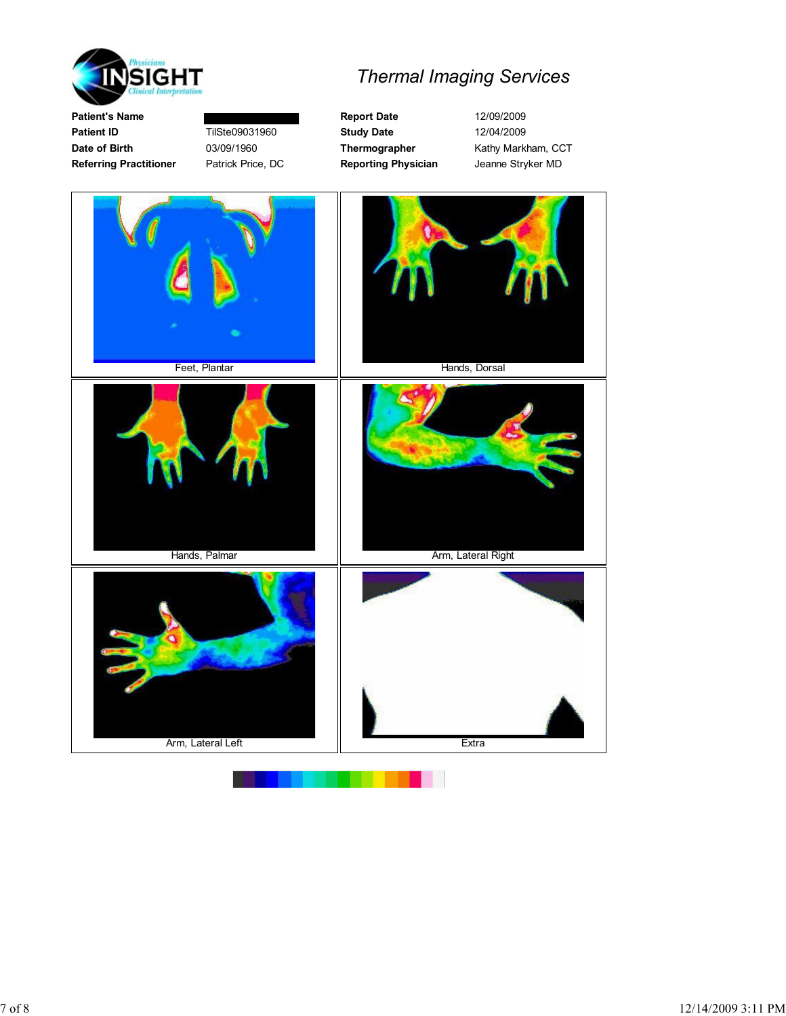

Patient ID **TilSte09031960** Study Date 12/04/2009 Date of Birth 03/09/1960 Thermographer Kathy Markham, CCT Referring Practitioner Patrick Price, DC Reporting Physician Jeanne Stryker MD Feet, Plantar **Hands**, Dorsal Hands, Palmar **Arm, Lateral Right Arm, Lateral Right** Arm, Lateral Left **Extra** 

Patient's Name **Report Date** 12/09/2009